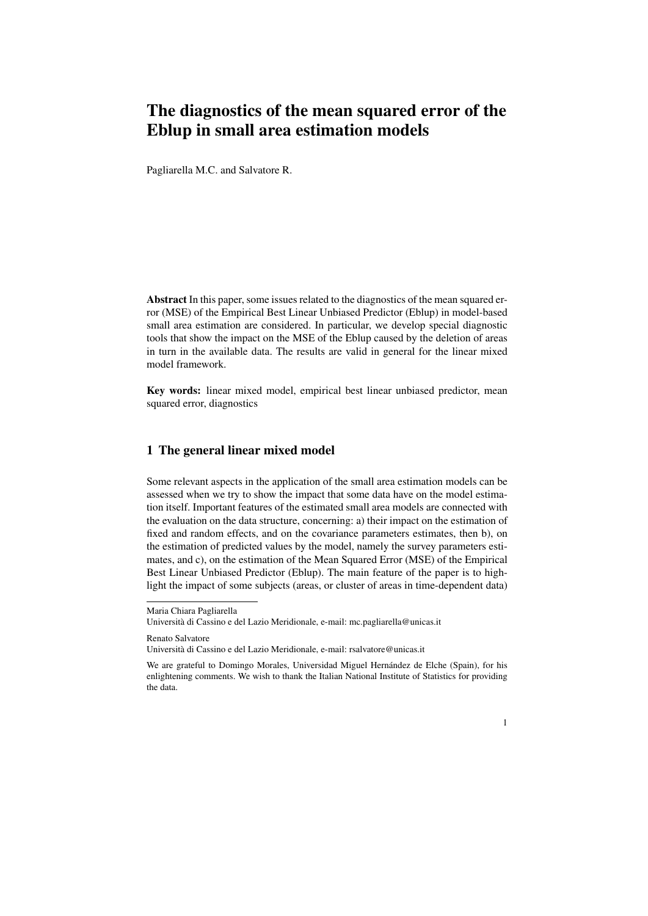## The diagnostics of the mean squared error of the Eblup in small area estimation models

Pagliarella M.C. and Salvatore R.

Abstract In this paper, some issues related to the diagnostics of the mean squared error (MSE) of the Empirical Best Linear Unbiased Predictor (Eblup) in model-based small area estimation are considered. In particular, we develop special diagnostic tools that show the impact on the MSE of the Eblup caused by the deletion of areas in turn in the available data. The results are valid in general for the linear mixed model framework.

Key words: linear mixed model, empirical best linear unbiased predictor, mean squared error, diagnostics

## 1 The general linear mixed model

Some relevant aspects in the application of the small area estimation models can be assessed when we try to show the impact that some data have on the model estimation itself. Important features of the estimated small area models are connected with the evaluation on the data structure, concerning: a) their impact on the estimation of fixed and random effects, and on the covariance parameters estimates, then b), on the estimation of predicted values by the model, namely the survey parameters estimates, and c), on the estimation of the Mean Squared Error (MSE) of the Empirical Best Linear Unbiased Predictor (Eblup). The main feature of the paper is to highlight the impact of some subjects (areas, or cluster of areas in time-dependent data)

Renato Salvatore

We are grateful to Domingo Morales, Universidad Miguel Hernández de Elche (Spain), for his enlightening comments. We wish to thank the Italian National Institute of Statistics for providing the data.



Maria Chiara Pagliarella

Universita di Cassino e del Lazio Meridionale, e-mail: mc.pagliarella@unicas.it `

Universita di Cassino e del Lazio Meridionale, e-mail: rsalvatore@unicas.it `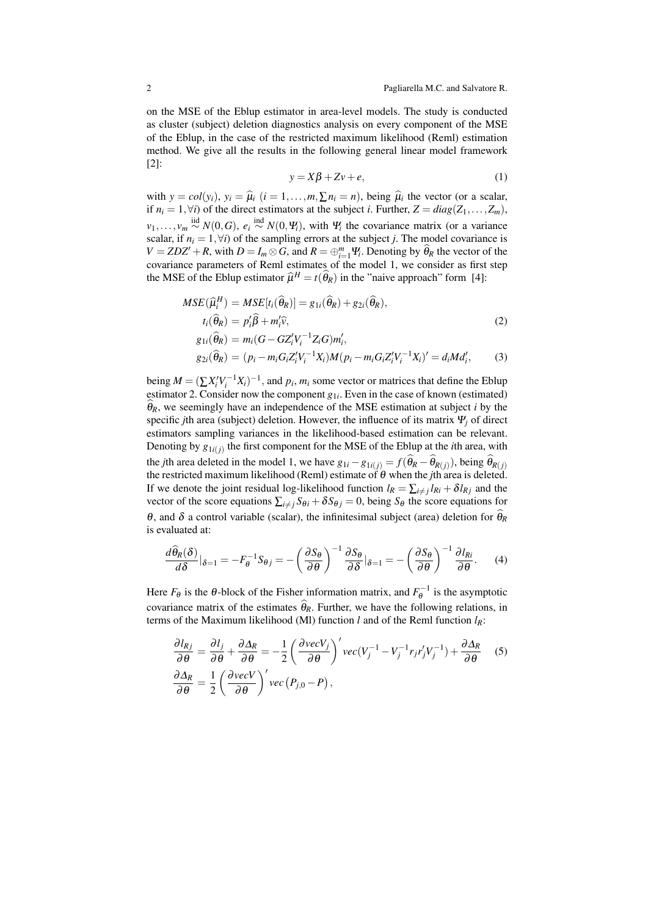on the MSE of the Eblup estimator in area-level models. The study is conducted as cluster (subject) deletion diagnostics analysis on every component of the MSE of the Eblup, in the case of the restricted maximum likelihood (Reml) estimation method. We give all the results in the following general linear model framework [2]:

$$
y = X\beta + Zv + e,\tag{1}
$$

with  $y = col(y_i)$ ,  $y_i = \hat{\mu}_i$  ( $i = 1, ..., m, \sum n_i = n$ ), being  $\hat{\mu}_i$  the vector (or a scalar, if  $n_i = 1, \forall i$ ) of the direct estimators at the subject *i*. Further,  $Z = diag(Z_1, \ldots, Z_m)$ , *v*<sub>1</sub>*,...,v<sub>m</sub>*  $\stackrel{\text{iid}}{\sim} N(0, G)$ ,  $e_i \stackrel{\text{ind}}{\sim} N(0, \Psi_i)$ , with  $\Psi_i$  the covariance matrix (or a variance scalar, if  $n_i = 1, \forall i$ ) of the sampling errors at the subject *j*. The model covariance is  $V = ZDZ' + R$ , with  $D = I_m \otimes G$ , and  $R = \bigoplus_{i=1}^m \Psi_i$ . Denoting by  $\widehat{\theta}_R$  the vector of the covariance parameters of Reml estimates of the model 1, we consider as first step the MSE of the Eblup estimator  $\hat{\mu}^H = t(\hat{\theta}_R)$  in the "naive approach" form [4]:

$$
MSE(\widehat{\mu}_i^H) = MSE[t_i(\widehat{\theta}_R)] = g_{1i}(\widehat{\theta}_R) + g_{2i}(\widehat{\theta}_R),
$$
  
\n
$$
t_i(\widehat{\theta}_R) = p'_i\widehat{\beta} + m'_i\widehat{v},
$$
  
\n
$$
g_{1i}(\widehat{\theta}_R) = m_i(G - GZ'_iV_i^{-1}Z_iG)m'_i,
$$
  
\n
$$
g_{2i}(\widehat{\theta}_R) = (p_i - m_iG_iZ'_iV_i^{-1}X_i)M(p_i - m_iG_iZ'_iV_i^{-1}X_i)' = d_iMd'_i,
$$
\n(3)

being  $M = (\sum X_i^{\prime} V_i^{-1} X_i)^{-1}$ , and  $p_i$ ,  $m_i$  some vector or matrices that define the Eblup estimator 2. Consider now the component  $g_{1i}$ . Even in the case of known (estimated)  $\hat{\theta}_R$ , we seemingly have an independence of the MSE estimation at subject *i* by the specific *j*th area (subject) deletion. However, the influence of its matrix <sup>Ψ</sup>*<sup>j</sup>* of direct estimators sampling variances in the likelihood-based estimation can be relevant. Denoting by  $g_{1i(j)}$  the first component for the MSE of the Eblup at the *i*th area, with the *j*th area deleted in the model 1, we have  $g_{1i} - g_{1i(j)} = f(\theta_R - \theta_{R(j)})$ , being  $\theta_{R(j)}$  the restricted maximum likelihood (Reml) estimate of  $\theta$  when the *j*th area is deleted. If we denote the joint residual log-likelihood function  $l_R = \sum_{i \neq j} l_{Ri} + \delta l_{Rj}$  and the vector of the score equations  $\sum_{i \neq j} S_{\theta i} + \delta S_{\theta j} = 0$ , being  $S_{\theta}$  the score equations for θ, and δ a control variable (scalar), the infinitesimal subject (area) deletion for  $θ<sub>R</sub>$ is evaluated at:

$$
\frac{d\widehat{\theta}_R(\delta)}{d\delta}|_{\delta=1} = -F_{\theta}^{-1}S_{\theta j} = -\left(\frac{\partial S_{\theta}}{\partial \theta}\right)^{-1}\frac{\partial S_{\theta}}{\partial \delta}|_{\delta=1} = -\left(\frac{\partial S_{\theta}}{\partial \theta}\right)^{-1}\frac{\partial I_{Ri}}{\partial \theta}.
$$
 (4)

Here  $F_{\theta}$  is the  $\theta$ -block of the Fisher information matrix, and  $F_{\theta}^{-1}$  is the asymptotic covariance matrix of the estimates  $\hat{\theta}_R$ . Further, we have the following relations, in terms of the Maximum likelihood (Ml) function *l* and of the Reml function *lR*:

$$
\frac{\partial l_{Rj}}{\partial \theta} = \frac{\partial l_j}{\partial \theta} + \frac{\partial \Delta_R}{\partial \theta} = -\frac{1}{2} \left( \frac{\partial vecV_j}{\partial \theta} \right)' vec(V_j^{-1} - V_j^{-1} r_j r_j' V_j^{-1}) + \frac{\partial \Delta_R}{\partial \theta} \quad (5)
$$

$$
\frac{\partial \Delta_R}{\partial \theta} = \frac{1}{2} \left( \frac{\partial vecV}{\partial \theta} \right)' vec(P_{j,0} - P),
$$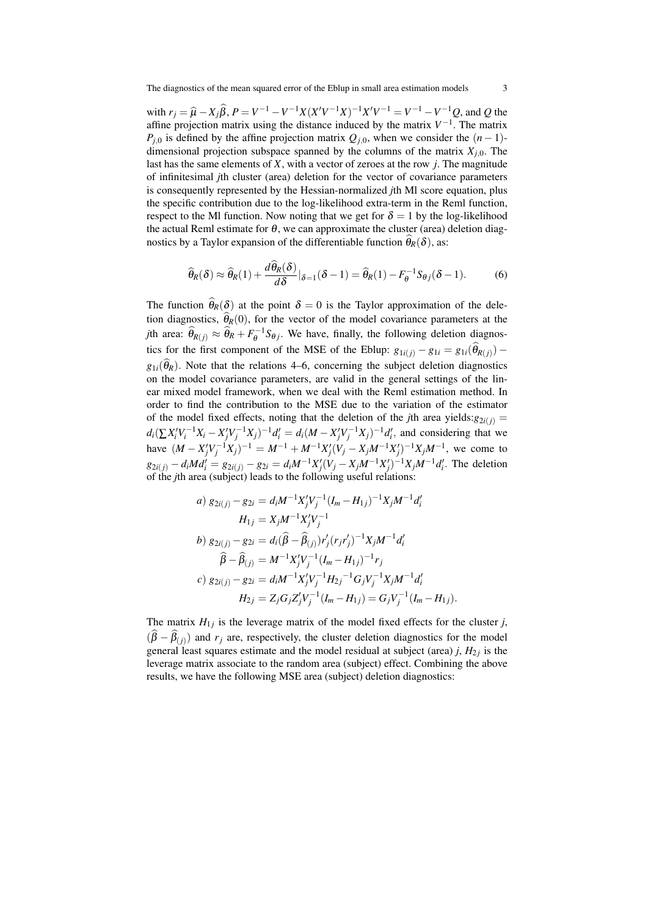with  $r_j = \hat{\mu} - X_j \hat{\beta}$ ,  $P = V^{-1} - V^{-1}X(X'V^{-1}X)^{-1}X'V^{-1} = V^{-1} - V^{-1}Q$ , and Q the affine projection matrix using the distance induced by the matrix *V −*1 . The matrix *P*<sub>*j*</sub><sup> $0$ </sup> is defined by the affine projection matrix  $Q$ <sub>*j*</sub><sup>0</sup>, when we consider the  $(n-1)$ dimensional projection subspace spanned by the columns of the matrix  $X_{i,0}$ . The last has the same elements of *X*, with a vector of zeroes at the row *j*. The magnitude of infinitesimal *j*th cluster (area) deletion for the vector of covariance parameters is consequently represented by the Hessian-normalized *j*th Ml score equation, plus the specific contribution due to the log-likelihood extra-term in the Reml function, respect to the Ml function. Now noting that we get for  $\delta = 1$  by the log-likelihood the actual Reml estimate for  $\theta$ , we can approximate the cluster (area) deletion diagnostics by a Taylor expansion of the differentiable function  $\theta_R(\delta)$ , as:

$$
\widehat{\theta}_R(\delta) \approx \widehat{\theta}_R(1) + \frac{d\widehat{\theta}_R(\delta)}{d\delta}|_{\delta=1}(\delta-1) = \widehat{\theta}_R(1) - F_{\theta}^{-1}S_{\theta j}(\delta-1). \tag{6}
$$

The function  $\hat{\theta}_R(\delta)$  at the point  $\delta = 0$  is the Taylor approximation of the deletion diagnostics,  $\hat{\theta}_R(0)$ , for the vector of the model covariance parameters at the *j*th area:  $\hat{\theta}_{R(j)} \approx \hat{\theta}_R + F_{\theta}^{-1} S_{\theta j}$ . We have, finally, the following deletion diagnostics for the first component of the MSE of the Eblup:  $g_{1i(j)} - g_{1i} = g_{1i}(\theta_{R(j)})$  $g_{1i}(\widehat{\theta}_R)$ . Note that the relations 4–6, concerning the subject deletion diagnostics on the model covariance parameters, are valid in the general settings of the linear mixed model framework, when we deal with the Reml estimation method. In order to find the contribution to the MSE due to the variation of the estimator of the model fixed effects, noting that the deletion of the *j*th area yields: $g_{2i(j)} =$  $d_i(\sum X_i' V_i^{-1} X_i - X_j' V_j^{-1} X_j)^{-1} d_i' = d_i(M - X_j' V_j^{-1} X_j)^{-1} d_i',$  and considering that we have  $(M - X'_j V_j^{-1} X_j)^{-1} = M^{-1} + M^{-1} X'_j (V_j - X_j M^{-1} X'_j)^{-1} X_j M^{-1}$ , we come to  $g_{2i(j)} - d_i M d'_i = g_{2i(j)} - g_{2i} = d_i M^{-1} X'_j (V_j - X_j M^{-1} X'_j)^{-1} X_j M^{-1} d'_i$ . The deletion of the *j*th area (subject) leads to the following useful relations:

a) 
$$
g_{2i(j)} - g_{2i} = d_i M^{-1} X'_j V_j^{-1} (I_m - H_{1j})^{-1} X_j M^{-1} d'_i
$$
  
\n $H_{1j} = X_j M^{-1} X'_j V_j^{-1}$   
\nb)  $g_{2i(j)} - g_{2i} = d_i (\hat{\beta} - \hat{\beta}_{(j)}) r'_j (r_j r'_j)^{-1} X_j M^{-1} d'_i$   
\n $\hat{\beta} - \hat{\beta}_{(j)} = M^{-1} X'_j V_j^{-1} (I_m - H_{1j})^{-1} r_j$   
\nc)  $g_{2i(j)} - g_{2i} = d_i M^{-1} X'_j V_j^{-1} H_{2j}^{-1} G_j V_j^{-1} X_j M^{-1} d'_i$   
\n $H_{2j} = Z_j G_j Z'_j V_j^{-1} (I_m - H_{1j}) = G_j V_j^{-1} (I_m - H_{1j}).$ 

The matrix  $H_{1j}$  is the leverage matrix of the model fixed effects for the cluster *j*,  $(\beta - \beta_{(j)})$  and *r<sub>j</sub>* are, respectively, the cluster deletion diagnostics for the model general least squares estimate and the model residual at subject (area)  $j$ ,  $H_{2j}$  is the leverage matrix associate to the random area (subject) effect. Combining the above results, we have the following MSE area (subject) deletion diagnostics: